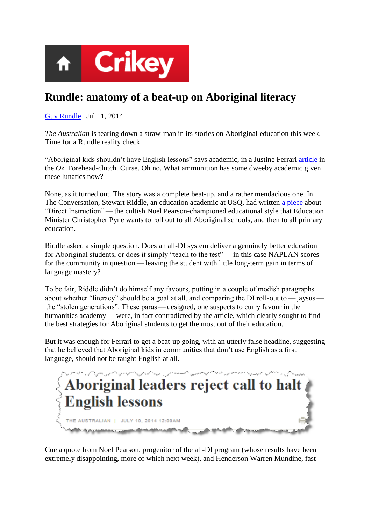

## **Rundle: anatomy of a beat-up on Aboriginal literacy**

[Guy Rundle](http://www.crikey.com.au/author/guyrundle/) | Jul 11, 2014

*The Australian* is tearing down a straw-man in its stories on Aboriginal education this week. Time for a Rundle reality check.

"Aboriginal kids shouldn't have English lessons" says academic, in a Justine Ferrari [article i](http://www.theaustralian.com.au/higher-education/aboriginal-leaders-reject-call-to-halt-english-lessons/story-e6frgcjx-1226983513389)n the *Oz*. Forehead-clutch. Curse. Oh no. What ammunition has some dweeby academic given these lunatics now?

None, as it turned out. The story was a complete beat-up, and a rather mendacious one. In The Conversation, Stewart Riddle, an education academic at USQ, had written [a piece a](http://theconversation.com/biggest-loser-policy-on-literacy-will-not-deliver-long-term-gains-28649)bout "Direct Instruction" — the cultish Noel Pearson-championed educational style that Education Minister Christopher Pyne wants to roll out to all Aboriginal schools, and then to all primary education.

Riddle asked a simple question. Does an all-DI system deliver a genuinely better education for Aboriginal students, or does it simply "teach to the test" — in this case NAPLAN scores for the community in question — leaving the student with little long-term gain in terms of language mastery?

To be fair, Riddle didn't do himself any favours, putting in a couple of modish paragraphs about whether "literacy" should be a goal at all, and comparing the DI roll-out to — jaysus the "stolen generations". These paras — designed, one suspects to curry favour in the humanities academy—were, in fact contradicted by the article, which clearly sought to find the best strategies for Aboriginal students to get the most out of their education.

But it was enough for Ferrari to get a beat-up going, with an utterly false headline, suggesting that he believed that Aboriginal kids in communities that don't use English as a first language, should not be taught English at all.



Cue a quote from Noel Pearson, progenitor of the all-DI program (whose results have been extremely disappointing, more of which next week), and Henderson Warren Mundine, fast